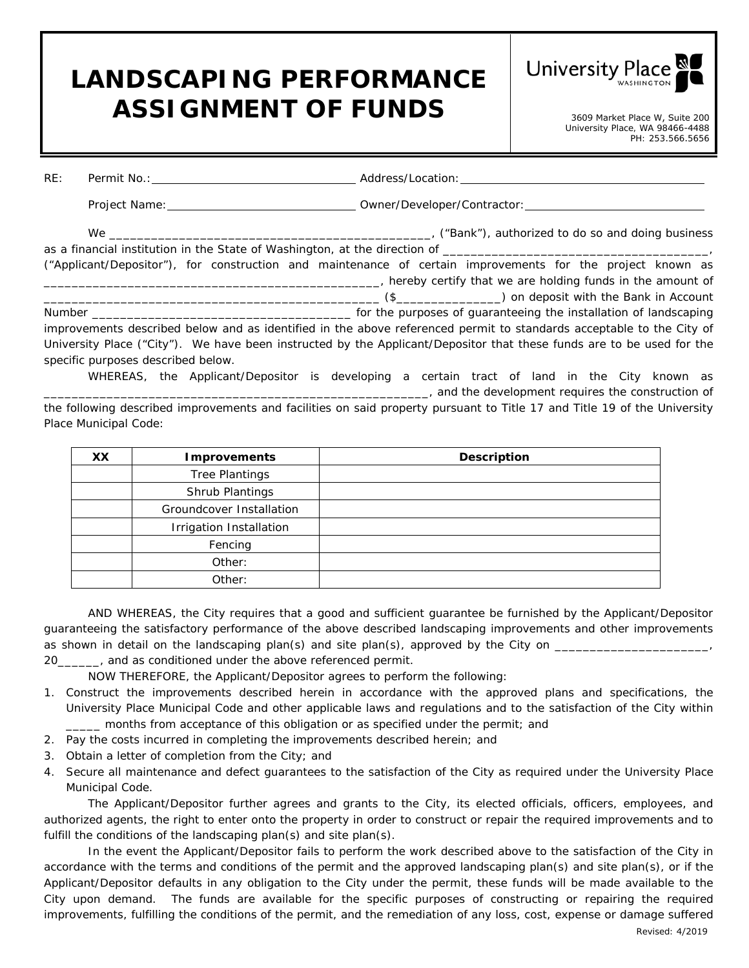## **LANDSCAPING PERFORMANCE**  ASSIGNMENT OF FUNDS<br>3609 Market Place W, Suite 200



| RE: |                                    |                                                                                                                                                                                                                                               |
|-----|------------------------------------|-----------------------------------------------------------------------------------------------------------------------------------------------------------------------------------------------------------------------------------------------|
|     |                                    |                                                                                                                                                                                                                                               |
|     |                                    |                                                                                                                                                                                                                                               |
|     |                                    | ("Applicant/Depositor"), for construction and maintenance of certain improvements for the project known as<br>thereby certify that we are holding funds in the amount of the stream of the stream of the stream of the stream of              |
|     | specific purposes described below. | improvements described below and as identified in the above referenced permit to standards acceptable to the City of<br>University Place ("City"). We have been instructed by the Applicant/Depositor that these funds are to be used for the |

WHEREAS, the Applicant/Depositor is developing a certain tract of land in the City known as  $\Box$ , and the development requires the construction of the following described improvements and facilities on said property pursuant to Title 17 and Title 19 of the University Place Municipal Code:

| <b>XX</b> | <b>Improvements</b>      | <b>Description</b> |
|-----------|--------------------------|--------------------|
|           | <b>Tree Plantings</b>    |                    |
|           | Shrub Plantings          |                    |
|           | Groundcover Installation |                    |
|           | Irrigation Installation  |                    |
|           | Fencing                  |                    |
|           | Other:                   |                    |
|           | Other:                   |                    |

AND WHEREAS, the City requires that a good and sufficient guarantee be furnished by the Applicant/Depositor guaranteeing the satisfactory performance of the above described landscaping improvements and other improvements as shown in detail on the landscaping plan(s) and site plan(s), approved by the City on 20\_\_\_\_\_\_, and as conditioned under the above referenced permit.

NOW THEREFORE, the Applicant/Depositor agrees to perform the following:

- 1. Construct the improvements described herein in accordance with the approved plans and specifications, the University Place Municipal Code and other applicable laws and regulations and to the satisfaction of the City within \_\_\_\_\_ months from acceptance of this obligation or as specified under the permit; and
- 2. Pay the costs incurred in completing the improvements described herein; and
- 3. Obtain a letter of completion from the City; and
- 4. Secure all maintenance and defect guarantees to the satisfaction of the City as required under the University Place Municipal Code.

The Applicant/Depositor further agrees and grants to the City, its elected officials, officers, employees, and authorized agents, the right to enter onto the property in order to construct or repair the required improvements and to fulfill the conditions of the landscaping plan(s) and site plan(s).

In the event the Applicant/Depositor fails to perform the work described above to the satisfaction of the City in accordance with the terms and conditions of the permit and the approved landscaping plan(s) and site plan(s), or if the Applicant/Depositor defaults in any obligation to the City under the permit, these funds will be made available to the City upon demand. The funds are available for the specific purposes of constructing or repairing the required improvements, fulfilling the conditions of the permit, and the remediation of any loss, cost, expense or damage suffered